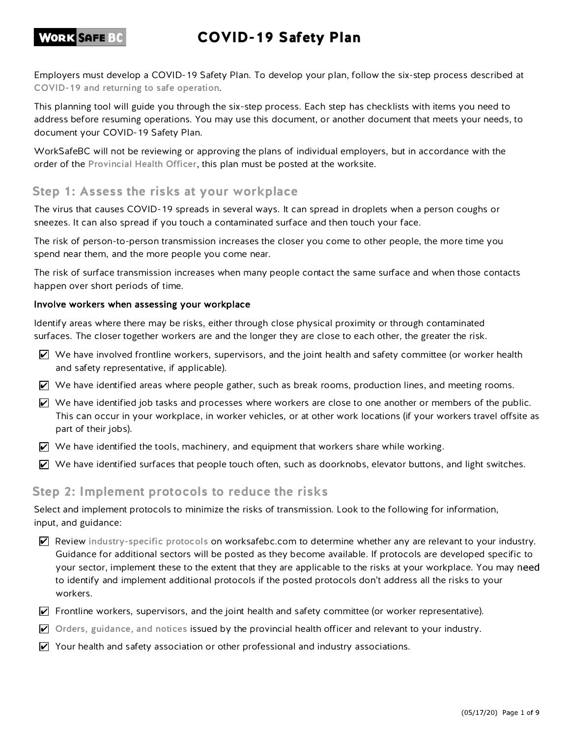# COVID-19 Safety Plan

Employers must develop a COVID-19 Safety Plan. To develop your plan, follow the six-step process described at COVID-19 and returning to safe operation.

This planning tool will guide you through the six-step process. Each step has checklists with items you need to address before resuming operations. You may use this document, or another document that meets your needs, to document your COVID-19 Safety Plan.

WorkSafeBC will not be reviewing or approving the plans of individual employers, but in accordance with the order of the Provincial Health Officer, this plan must be posted at the worksite.

### Step 1: Assess the risks at your workplace

The virus that causes COVID-19 spreads in several ways. It can spread in droplets when a person coughs or sneezes. It can also spread if you touch a contaminated surface and then touch your face.

The risk of person-to-person transmission increases the closer you come to other people, the more time you spend near them, and the more people you come near.

The risk of surface transmission increases when many people contact the same surface and when those contacts happen over short periods of time.

Identify areas where there may be risks, either through close physical proximity or through contaminated surfaces. The closer together workers are and the longer they are close to each other, the greater the risk.

- $\vee$  We have involved frontline workers, supervisors, and the joint health and safety committee (or worker health and safety representative, if applicable).
- $\triangledown$  We have identified areas where people gather, such as break rooms, production lines, and meeting rooms.
- $\triangledown$  We have identified job tasks and processes where workers are close to one another or members of the public. This can occur in your workplace, in worker vehicles, or at other work locations (if your workers travel offsite as part of their jobs).
- $\triangledown$  We have identified the tools, machinery, and equipment that workers share while working.
- $\triangledown$  We have identified surfaces that people touch often, such as doorknobs, elevator buttons, and light switches.

#### Step 2: Implement protocols to reduce the risks

Select and implement protocols to minimize the risks of transmission. Look to the following for information, input, and guidance:

- $\blacktriangledown$  Review industry-specific protocols on worksafebc.com to determine whether any are relevant to your industry. Guidance for additional sectors will be posted as they become available. If protocols are developed specific to your sector, implement these to the extent that they are applicable to the risks at your workplace. You may need to identify and implement additional protocols if the posted protocols don't address all the risks to your workers.
- $\triangledown$  Frontline workers, supervisors, and the joint health and safety committee (or worker representative).
- Orders, guidance, and notices issued by the provincial health officer and relevant to your industry.
- $\triangledown$  Your health and safety association or other professional and industry associations.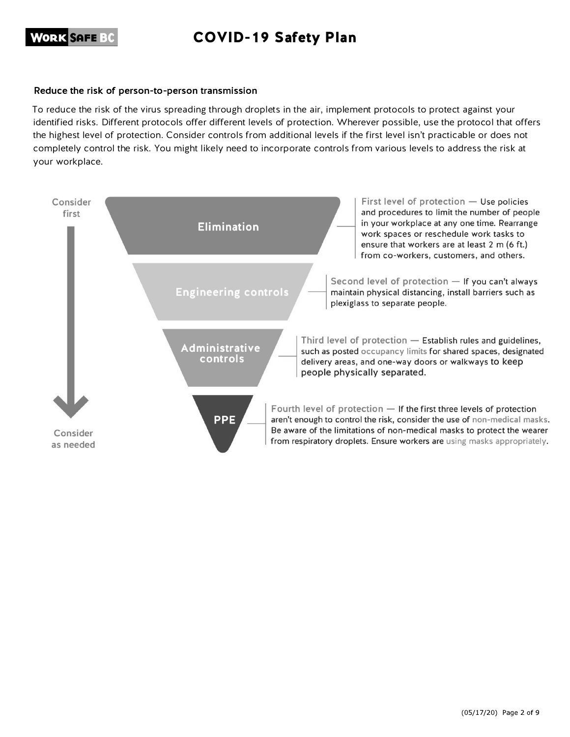### COVID-19 Safety Plan

#### Reduce the risk of person-to-person transmission

To reduce the risk of the virus spreading through droplets in the air, implement protocols to protect against your identified risks. Different protocols offer different levels of protection. Wherever possible, use the protocol that offers the highest level of protection. Consider controls from additional levels if the first level isn't practicable or does not completely control the risk. You might likely need to incorporate controls from various levels to address the risk at your workplace.

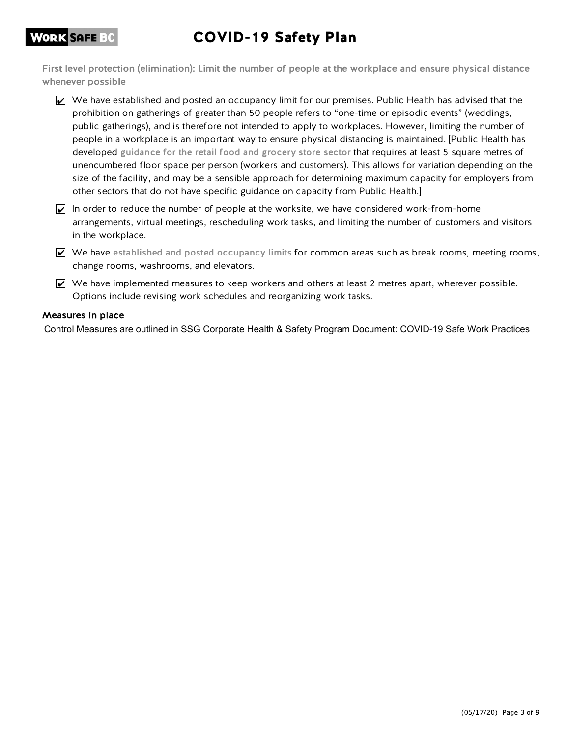# COVID-19 Safety Plan

First level protection (elimination): Limit the number of people at the workplace and ensure physical distance whenever possible

- $\triangledown$  We have established and posted an occupancy limit for our premises. Public Health has advised that the prohibition on gatherings of greater than 50 people refers to "one-time or episodic events" (weddings, public gatherings), and is therefore not intended to apply to workplaces. However, limiting the number of people in a workplace is an important way to ensure physical distancing is maintained. [Public Health has developed guidance for the retail food and grocery store sector that requires at least 5 square metres of unencumbered floor space per person (workers and customers). This allows for variation depending on the size of the facility, and may be a sensible approach for determining maximum capacity for employers from other sectors that do not have specific guidance on capacity from Public Health.]
- In order to reduce the number of people at the worksite, we have considered work-from-home arrangements, virtual meetings, rescheduling work tasks, and limiting the number of customers and visitors in the workplace.
- $\triangledown$  We have established and posted occupancy limits for common areas such as break rooms, meeting rooms, change rooms, washrooms, and elevators.
- $\triangledown$  We have implemented measures to keep workers and others at least 2 metres apart, wherever possible. Options include revising work schedules and reorganizing work tasks.

#### Measures in place

**WORK SAFE BC**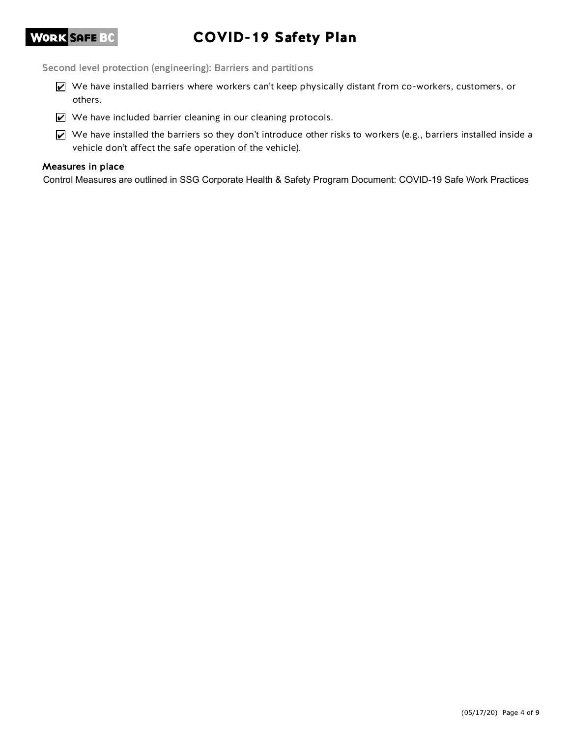# COVID-19 Safety Plan

Second level protection (engineering): Barriers and partitions

- We have installed barriers where workers can't keep physically distant from co-workers, customers, or others.
- We have included barrier cleaning in our cleaning protocols.
- $\vee$  We have installed the barriers so they don't introduce other risks to workers (e.g., barriers installed inside a vehicle don't affect the safe operation of the vehicle).

#### Measures in place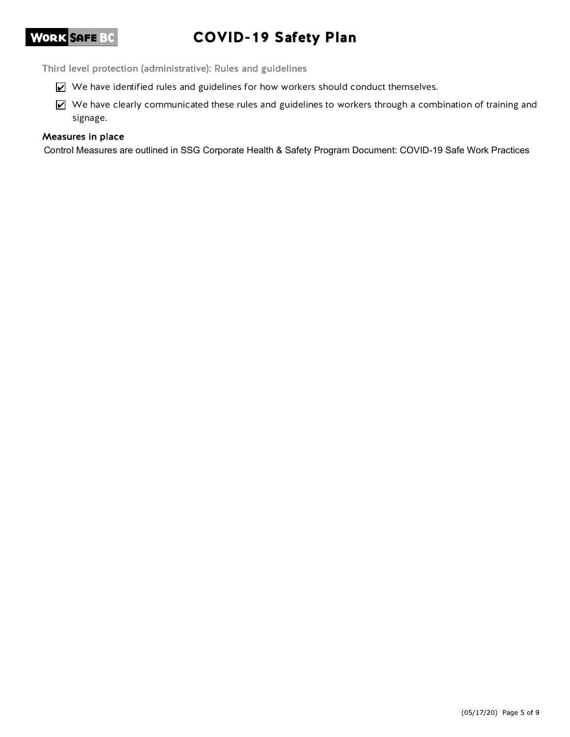# COVID-19 Safety Plan

Third level protection (administrative): Rules and guidelines

- We have identified rules and guidelines for how workers should conduct themselves.
- We have clearly communicated these rules and guidelines to workers through a combination of training and signage.

#### Measures in place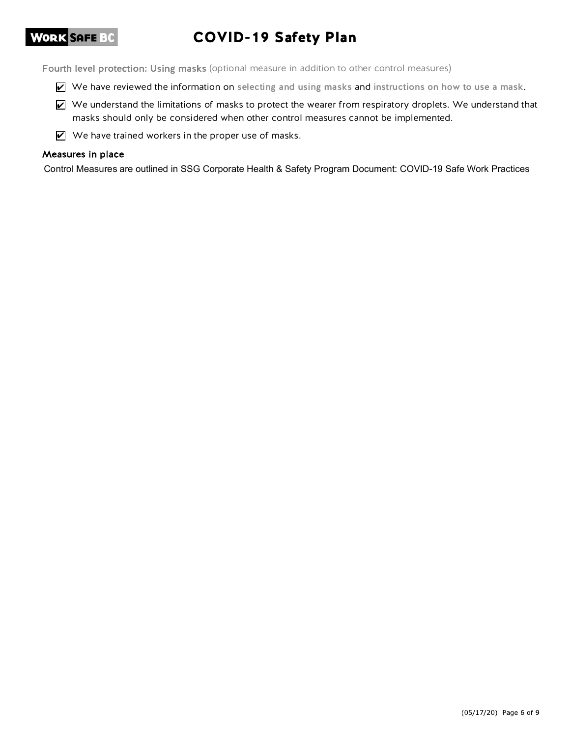# COVID-19 Safety Plan

Fourth level protection: Using masks (optional measure in addition to other control measures)

- We have reviewed the information on selecting and using masks and instructions on how to use a mask.
- We understand the limitations of masks to protect the wearer from respiratory droplets. We understand that masks should only be considered when other control measures cannot be implemented.
- $\triangledown$  We have trained workers in the proper use of masks.

#### Measures in place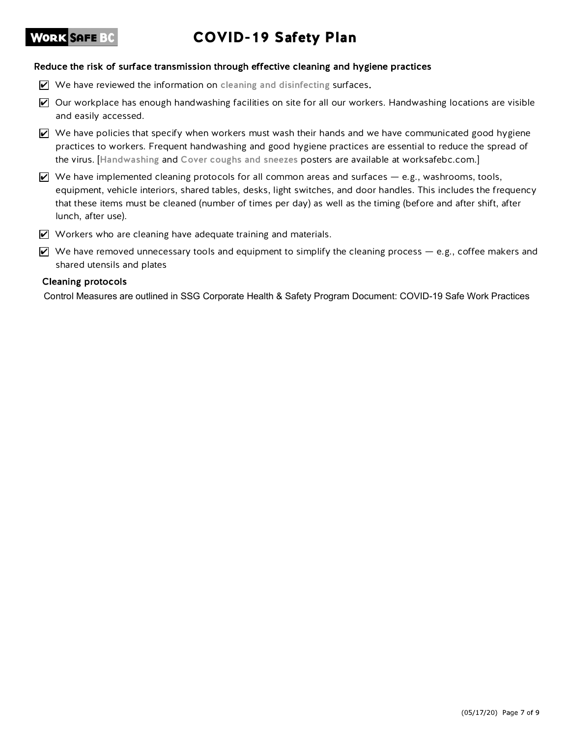# COVID-19 Safety Plan

#### Reduce the risk of surface transmission through effective cleaning and hygiene practices

- $\triangledown$  We have reviewed the information on cleaning and disinfecting surfaces.
- $\triangledown$  Our workplace has enough handwashing facilities on site for all our workers. Handwashing locations are visible and easily accessed.
- $\triangledown$  We have policies that specify when workers must wash their hands and we have communicated good hygiene practices to workers. Frequent handwashing and good hygiene practices are essential to reduce the spread of the virus. [Handwashing and Cover coughs and sneezes posters are available at worksafebc.com.]
- $\triangledown$  We have implemented cleaning protocols for all common areas and surfaces e.g., washrooms, tools, equipment, vehicle interiors, shared tables, desks, light switches, and door handles. This includes the frequency that these items must be cleaned (number of times per day) as well as the timing (before and after shift, after lunch, after use).
- **M** Workers who are cleaning have adequate training and materials.
- $\vee$  We have removed unnecessary tools and equipment to simplify the cleaning process  $-$  e.g., coffee makers and shared utensils and plates

#### **Cleaning protocols**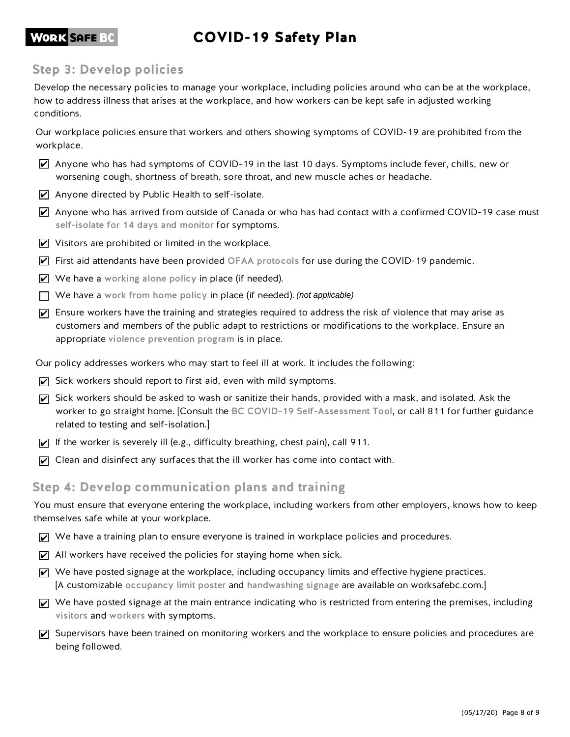### COVID-19 Safety Plan

### **WORK SAFE BC**

### Step 3: Develop policies

conditions. how to address illness that arises at the workplace, and how workers can be kept safe in adjusted working Develop the necessary policies to manage your workplace, including policies around who can be at the workplace,

workplace. Our workplace policies ensure that workers and others showing symptoms of COVID-19 are prohibited from the

- worsening cough, shortness of breath, sore throat, and new muscle aches or headache. Anyone who has had symptoms of COVID-19 in the last 10 days. Symptoms include fever, chills, new or
- $\triangleright$  Anyone directed by Public Health to self-isolate.
- self-isolate for 14 days and monitor for symptoms.  $\triangledown$  Anyone who has arrived from outside of Canada or who has had contact with a confirmed COVID-19 case must
- $\triangledown$  Visitors are prohibited or limited in the workplace.
- First aid attendants have been provided OFAA protocols for use during the COVID-19 pandemic.
- $\vee$  We have a working alone policy in place (if needed).
- $\Box$  We have a work from home policy in place (if needed). (not applicable)
- appropriate violence prevention program is in place. customers and members of the public adapt to restrictions or modifications to the workplace. Ensure an  $\triangledown$  Ensure workers have the training and strategies required to address the risk of violence that may arise as
- Our policy addresses workers who may start to feel ill at work. It includes the following:
- $\triangledown$  Sick workers should report to first aid, even with mild symptoms.
- related to testing and self-isolation.] worker to go straight home. [Consult the BC COVID-19 Self-Assessment Tool, or call 811 for further guidance  $\vec{v}$  Sick workers should be asked to wash or sanitize their hands, provided with a mask, and isolated. Ask the
- If the worker is severely ill (e.g., difficulty breathing, chest pain), call 911.
- $\triangledown$  Clean and disinfect any surfaces that the ill worker has come into contact with.

#### Step 4: Develop communication plans and training

themselves safe while at your workplace. You must ensure that everyone entering the workplace, including workers from other employers, knows how to keep

- We have a training plan to ensure everyone is trained in workplace policies and procedures.
- $\triangledown$  All workers have received the policies for staying home when sick.
- [A customizable occupancy limit poster and handwashing signage are available on worksafebc.com.]  $\triangledown$  We have posted signage at the workplace, including occupancy limits and effective hygiene practices.
- visitors and workers with symptoms.  $\triangledown$  We have posted signage at the main entrance indicating who is restricted from entering the premises, including
- being followed.  $\triangledown$  Supervisors have been trained on monitoring workers and the workplace to ensure policies and procedures are